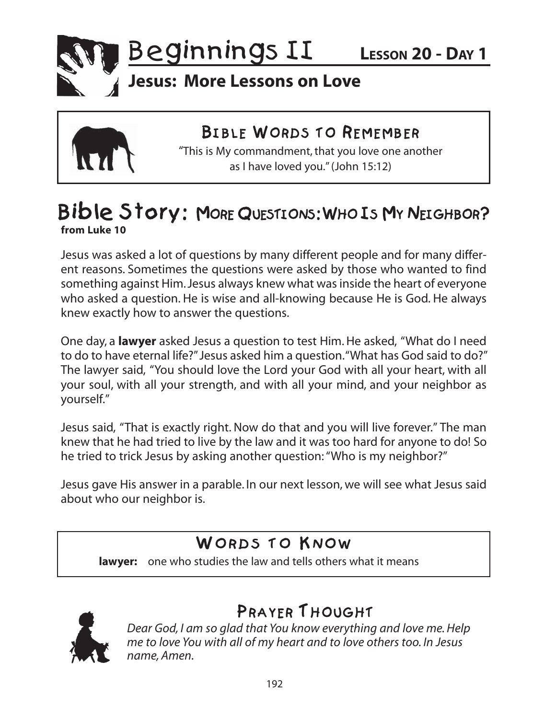

Beginnings II **LESSON 20 - DAY <sup>1</sup>**

## **Jesus: More Lessons on Love**



## BIBLE WORDS TO REMEMBER

"This is My commandment, that you love one another as I have loved you." (John 15:12)

# Bible Story: MORE QUESTIONS: WHO IS MY NEIGHBOR? **from Luke 10**

Jesus was asked a lot of questions by many different people and for many different reasons. Sometimes the questions were asked by those who wanted to find something against Him. Jesus always knew what was inside the heart of everyone who asked a question. He is wise and all-knowing because He is God. He always knew exactly how to answer the questions.

One day, a **lawyer** asked Jesus a question to test Him. He asked, "What do I need to do to have eternal life?" Jesus asked him a question. "What has God said to do?" The lawyer said, "You should love the Lord your God with all your heart, with all your soul, with all your strength, and with all your mind, and your neighbor as yourself."

Jesus said, "That is exactly right. Now do that and you will live forever." The man knew that he had tried to live by the law and it was too hard for anyone to do! So he tried to trick Jesus by asking another question: "Who is my neighbor?"

Jesus gave His answer in a parable. In our next lesson, we will see what Jesus said about who our neighbor is.

lawyer: one who studies the law and tells others what it means



**Dear God, I am so glad that You know everything and love me. Help** *me to love You with all of my heart and to love others too. In Jesus name, Amen.*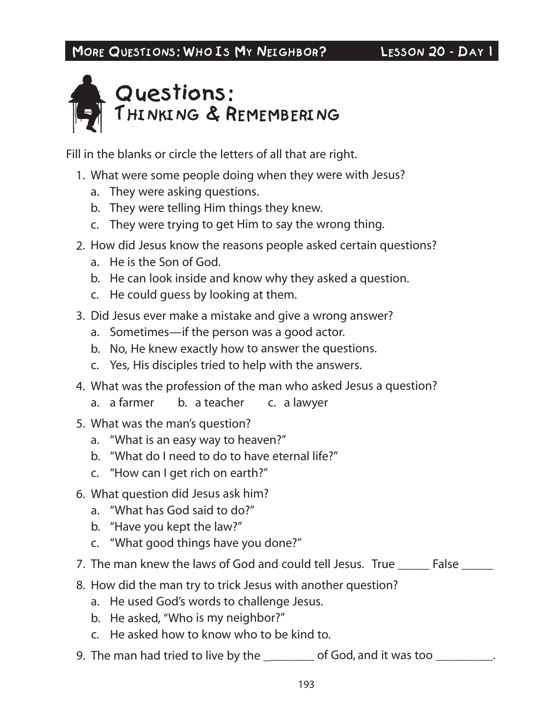

Fill in the blanks or circle the letters of all that are right.

- 1. What were some people doing when they were with Jesus?
	- a. They were asking questions.
	- b. They were telling Him things they knew.
	- c. They were trying to get Him to say the wrong thing.
- 2. How did Jesus know the reasons people asked certain questions?
	- a. He is the Son of God.
	- b. He can look inside and know why they asked a question.
	- c. He could guess by looking at them.
- 3. Did Jesus ever make a mistake and give a wrong answer?
	- a. Sometimes—if the person was a good actor.
	- b. No, He knew exactly how to answer the questions.
	- c. Yes, His disciples tried to help with the answers.
- 4. What was the profession of the man who asked Jesus a question?
	- a. a farmer b. a teacher c. a lawyer
- 5. What was the man's question?
	- a. "What is an easy way to heaven?"
	- b. "What do I need to do to have eternal life?"
	- c. "How can I get rich on earth?"
- 6. What question did Jesus ask him?
	- a. "What has God said to do?"
	- b. "Have you kept the law?"
	- c. "What good things have you done?"
- 7. The man knew the laws of God and could tell Jesus. True \_\_\_\_\_ False \_\_\_\_\_
- 8. How did the man try to trick Jesus with another question?
	- a. He used God's words to challenge Jesus.
	- b. He asked, "Who is my neighbor?"
	- c. He asked how to know who to be kind to.
- 9. The man had tried to live by the \_\_\_\_\_\_\_\_ of God, and it was too \_\_\_\_\_\_\_\_\_.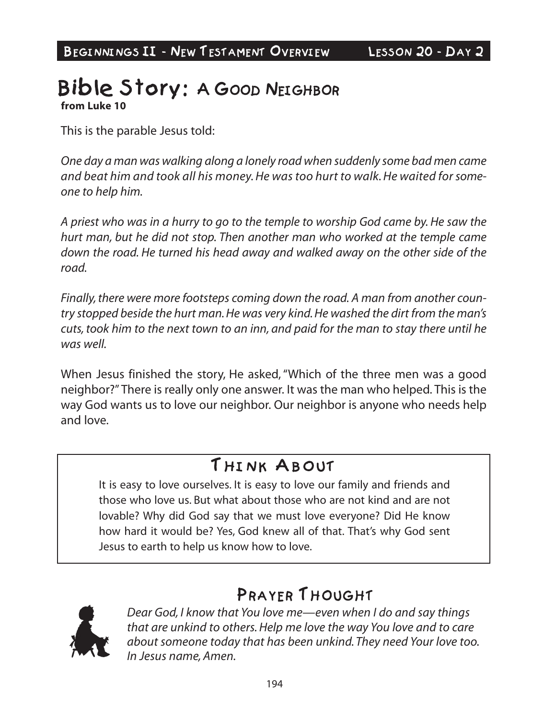### Bible Story: A GOOD NEIGHBOR **from Luke 10**

This is the parable Jesus told:

*One day a man was walking along a lonely road when suddenly some bad men came and beat him and took all his money. He was too hurt to walk. He waited for someone to help him.*

*A priest who was in a hurry to go to the temple to worship God came by. He saw the hurt man, but he did not stop. Then another man who worked at the temple came down the road. He turned his head away and walked away on the other side of the road.*

*Finally, there were more footsteps coming down the road. A man from another country stopped beside the hurt man. He was very kind. He washed the dirt from the man's cuts, took him to the next town to an inn, and paid for the man to stay there until he was well.*

When Jesus finished the story, He asked, "Which of the three men was a good neighbor?" There is really only one answer. It was the man who helped. This is the way God wants us to love our neighbor. Our neighbor is anyone who needs help and love.

# THINK ABOUT

It is easy to love ourselves. It is easy to love our family and friends and those who love us. But what about those who are not kind and are not lovable? Why did God say that we must love everyone? Did He know how hard it would be? Yes, God knew all of that. That's why God sent Jesus to earth to help us know how to love.



*Dear God, I know that You love me—even when I do and say things that are unkind to others. Help me love the way You love and to care about someone today that has been unkind. They need Your love too. In Jesus name, Amen.*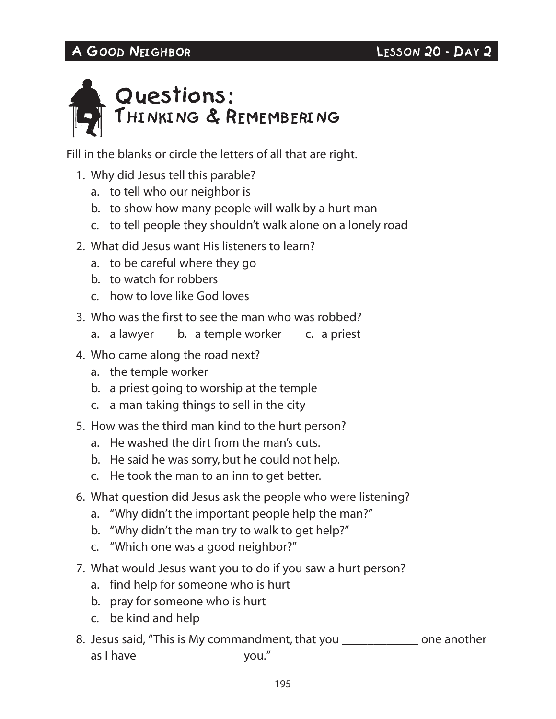# A GOOD NEIGHBOR LESSON 20 - DAY 20 - DAY 20 - DAY 20 - DAY 20 - DAY 20 - DAY 20 - DAY 20 - DAY 20 - DAY 20 - D



Fill in the blanks or circle the letters of all that are right.

- 1. Why did Jesus tell this parable?
	- a. to tell who our neighbor is
	- b. to show how many people will walk by a hurt man
	- c. to tell people they shouldn't walk alone on a lonely road
- 2. What did Jesus want His listeners to learn?
	- a. to be careful where they go
	- b. to watch for robbers
	- c. how to love like God loves
- 3. Who was the first to see the man who was robbed?
	- a. a lawyer b. a temple worker c. a priest
- 4. Who came along the road next?
	- a. the temple worker
	- b. a priest going to worship at the temple
	- c. a man taking things to sell in the city
- 5. How was the third man kind to the hurt person?
	- a. He washed the dirt from the man's cuts.
	- b. He said he was sorry, but he could not help.
	- c. He took the man to an inn to get better.
- 6. What question did Jesus ask the people who were listening?
	- a. "Why didn't the important people help the man?"
	- b. "Why didn't the man try to walk to get help?"
	- c. "Which one was a good neighbor?"
- 7. What would Jesus want you to do if you saw a hurt person?
	- a. find help for someone who is hurt
	- b. pray for someone who is hurt
	- c. be kind and help
- 8. Jesus said, "This is My commandment, that you \_\_\_\_\_\_\_\_\_\_\_\_\_\_ one another as I have you."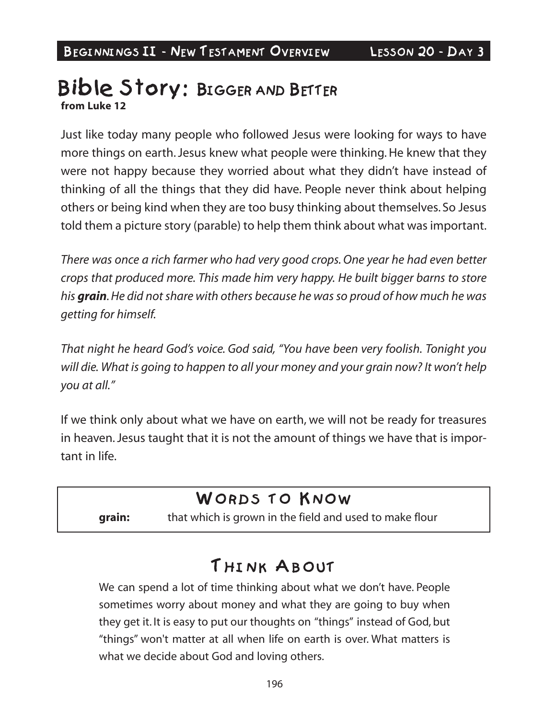### Bible Story: BIGGER AND BETTER **from Luke 12**

Just like today many people who followed Jesus were looking for ways to have more things on earth. Jesus knew what people were thinking. He knew that they were not happy because they worried about what they didn't have instead of thinking of all the things that they did have. People never think about helping others or being kind when they are too busy thinking about themselves. So Jesus told them a picture story (parable) to help them think about what was important.

*There was once a rich farmer who had very good crops. One year he had even better crops that produced more. This made him very happy. He built bigger barns to store his grain. He did not share with others because he was so proud of how much he was getting for himself.*

*That night he heard God's voice. God said, "You have been very foolish. Tonight you will die. What is going to happen to all your money and your grain now? It won't help you at all."*

If we think only about what we have on earth, we will not be ready for treasures in heaven. Jesus taught that it is not the amount of things we have that is important in life.

WORDS TO KNOW

**grain: that which is grown in the field and used to make flour** 

We can spend a lot of time thinking about what we don't have. People sometimes worry about money and what they are going to buy when they get it. It is easy to put our thoughts on "things" instead of God, but "things" won't matter at all when life on earth is over. What matters is what we decide about God and loving others.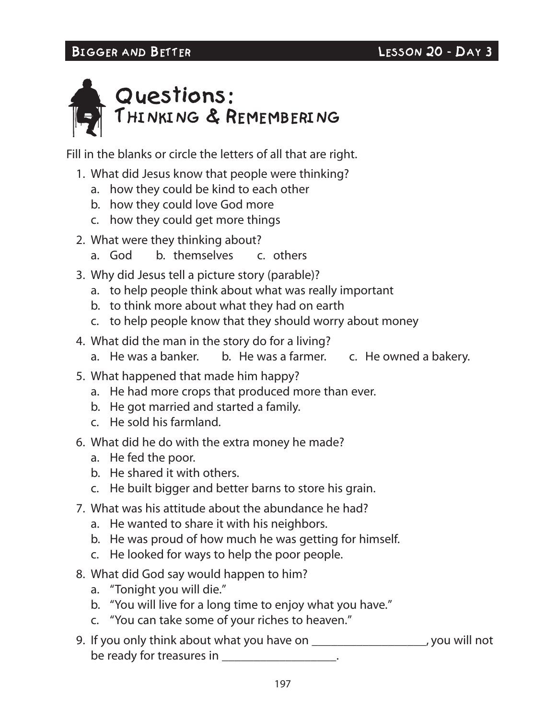# BIGGER AND BETTER LESSON 20 - DAY 30 - DAY 30 - DAY 30 - DAY 30 - DAY 30 - DAY 30 - DAY 30 - DAY 30 - DAY 30 -



Fill in the blanks or circle the letters of all that are right.

- 1. What did Jesus know that people were thinking?
	- a. how they could be kind to each other
	- b. how they could love God more
	- c. how they could get more things
- 2. What were they thinking about?
	- a. God b. themselves c. others
- 3. Why did Jesus tell a picture story (parable)?
	- a. to help people think about what was really important
	- b. to think more about what they had on earth
	- c. to help people know that they should worry about money
- 4. What did the man in the story do for a living?
	- a. He was a banker. b. He was a farmer. c. He owned a bakery.
- 5. What happened that made him happy?
	- a. He had more crops that produced more than ever.
	- b. He got married and started a family.
	- c. He sold his farmland.
- 6. What did he do with the extra money he made?
	- a. He fed the poor.
	- b. He shared it with others.
	- c. He built bigger and better barns to store his grain.
- 7. What was his attitude about the abundance he had?
	- a. He wanted to share it with his neighbors.
	- b. He was proud of how much he was getting for himself.
	- c. He looked for ways to help the poor people.
- 8. What did God say would happen to him?
	- a. "Tonight you will die."
	- b. "You will live for a long time to enjoy what you have."
	- c. "You can take some of your riches to heaven."
- 9. If you only think about what you have on the same section of the system of the system of  $\sim$ be ready for treasures in \_\_\_\_\_\_\_\_\_\_\_\_\_\_\_\_\_\_\_.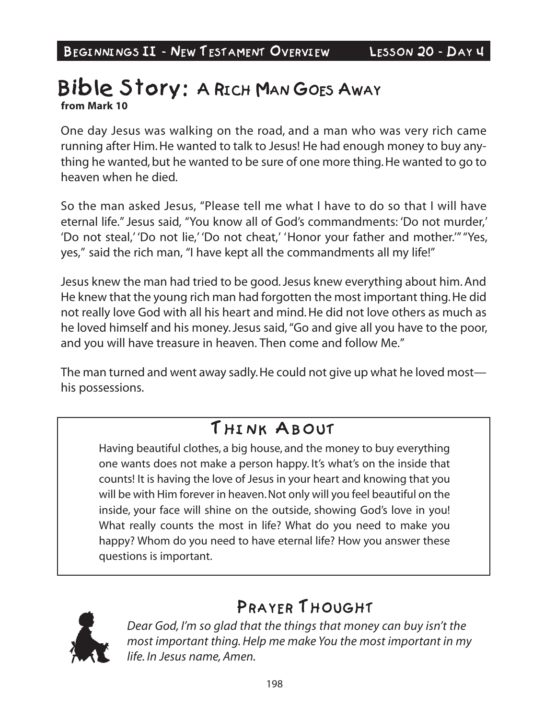# from Mark 10

One day Jesus was walking on the road, and a man who was very rich came running after Him. He wanted to talk to Jesus! He had enough money to buy anything he wanted, but he wanted to be sure of one more thing. He wanted to go to heaven when he died.

So the man asked Jesus, "Please tell me what I have to do so that I will have eternal life." Jesus said, "You know all of God's commandments: 'Do not murder,' 'Do not steal,' 'Do not lie,' 'Do not cheat,' 'Honor your father and mother.'" "Yes, yes," said the rich man, "I have kept all the commandments all my life!"

Jesus knew the man had tried to be good. Jesus knew everything about him. And He knew that the young rich man had forgotten the most important thing. He did not really love God with all his heart and mind. He did not love others as much as he loved himself and his money. Jesus said, "Go and give all you have to the poor, and you will have treasure in heaven. Then come and follow Me."

The man turned and went away sadly. He could not give up what he loved most his possessions.

Having beautiful clothes, a big house, and the money to buy everything one wants does not make a person happy. It's what's on the inside that counts! It is having the love of Jesus in your heart and knowing that you will be with Him forever in heaven. Not only will you feel beautiful on the inside, your face will shine on the outside, showing God's love in you! What really counts the most in life? What do you need to make you happy? Whom do you need to have eternal life? How you answer these questions is important.



*Dear God, I'm so glad that the things that money can buy isn't the most important thing. Help me make You the most important in my life. In Jesus name, Amen.*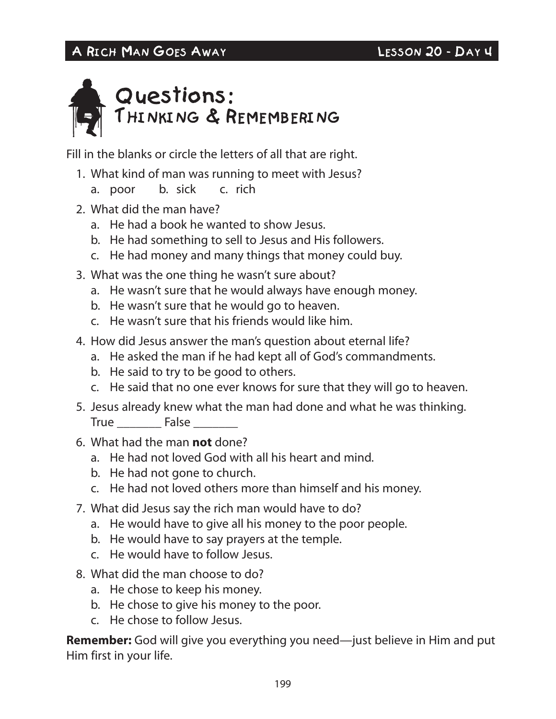# A RICH MAN GOES AWAY LESSON 20 - DAY 4



Fill in the blanks or circle the letters of all that are right.

- 1. What kind of man was running to meet with Jesus?
	- a. poor b. sick c. rich
- 2. What did the man have?
	- a. He had a book he wanted to show Jesus.
	- b. He had something to sell to Jesus and His followers.
	- c. He had money and many things that money could buy.
- 3. What was the one thing he wasn't sure about?
	- a. He wasn't sure that he would always have enough money.
	- b. He wasn't sure that he would go to heaven.
	- c. He wasn't sure that his friends would like him.
- 4. How did Jesus answer the man's question about eternal life?
	- a. He asked the man if he had kept all of God's commandments.
	- b. He said to try to be good to others.
	- c. He said that no one ever knows for sure that they will go to heaven.
- 5. Jesus already knew what the man had done and what he was thinking. True False
- 6. What had the man **not** done?
	- a. He had not loved God with all his heart and mind.
	- b. He had not gone to church.
	- c. He had not loved others more than himself and his money.
- 7. What did Jesus say the rich man would have to do?
	- a. He would have to give all his money to the poor people.
	- b. He would have to say prayers at the temple.
	- c. He would have to follow Jesus.
- 8. What did the man choose to do?
	- a. He chose to keep his money.
	- b. He chose to give his money to the poor.
	- c. He chose to follow Jesus.

**Remember:** God will give you everything you need—just believe in Him and put Him first in your life.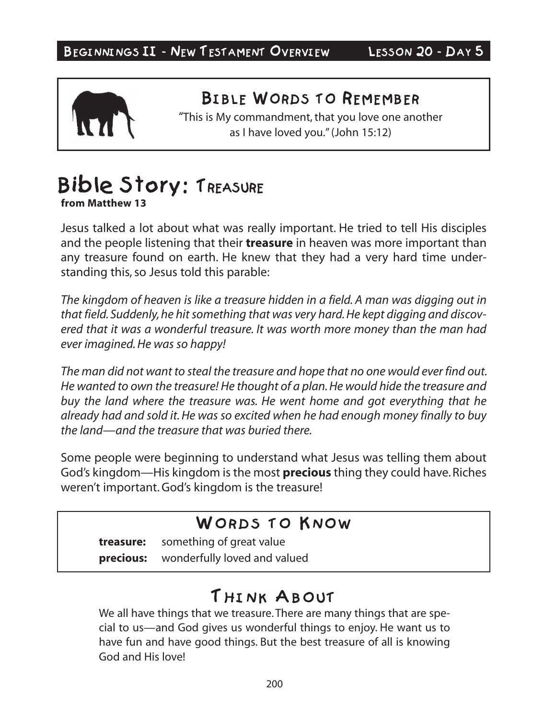

# **BIBLE WORDS TO REMEMBER**

"This is My commandment, that you love one another as I have loved you." (John 15:12)

# from Matthew 13

Jesus talked a lot about what was really important. He tried to tell His disciples and the people listening that their **treasure** in heaven was more important than any treasure found on earth. He knew that they had a very hard time understanding this, so Jesus told this parable:

*The kingdom of heaven is like a treasure hidden in a field. A man was digging out in that field. Suddenly, he hit something that was very hard. He kept digging and discovered that it was a wonderful treasure. It was worth more money than the man had ever imagined. He was so happy!*

*The man did not want to steal the treasure and hope that no one would ever find out. He wanted to own the treasure! He thought of a plan. He would hide the treasure and buy the land where the treasure was. He went home and got everything that he already had and sold it. He was so excited when he had enough money finally to buy the land—and the treasure that was buried there.*

Some people were beginning to understand what Jesus was telling them about God's kingdom—His kingdom is the most **precious** thing they could have. Riches weren't important. God's kingdom is the treasure!

# WORDS TO KNOW

treasure: something of great value **precious:** wonderfully loved and valued

# THINK ABOUT

We all have things that we treasure. There are many things that are special to us—and God gives us wonderful things to enjoy. He want us to have fun and have good things. But the best treasure of all is knowing God and His love!